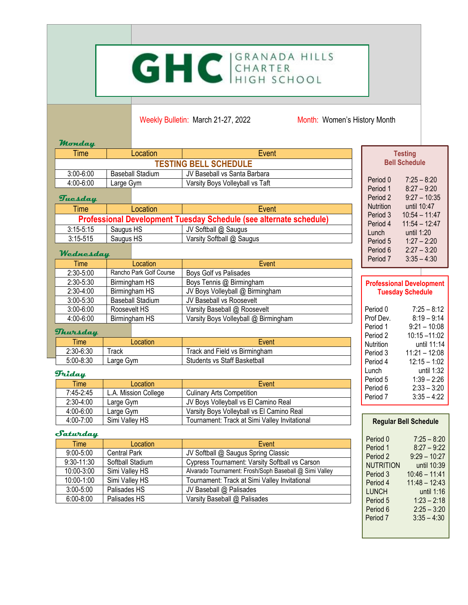# GHC GRANADA HILLS

Weekly Bulletin: March 21-27, 2022 Month: Women's History Month

#### **Monday**

| Time                         | Location                | Event                           | <b>Testing</b>                                         |  |
|------------------------------|-------------------------|---------------------------------|--------------------------------------------------------|--|
| <b>TESTING BELL SCHEDULE</b> |                         |                                 | <b>Bell Schedule</b>                                   |  |
| $3:00 - 6:00$                | <b>Baseball Stadium</b> | JV Baseball vs Santa Barbara    |                                                        |  |
| $4:00 - 6:00$<br>Large Gym   |                         | Varsity Bovs Vollevball vs Taft | $7:25 - 8:20$<br>Period 0                              |  |
| Tuesday                      |                         |                                 | $8:27 - 9:20$<br>Period 1<br>Period 2<br>$9:27 - 10:3$ |  |

#### **Tuesday**

| <b>Time</b>                                                               |           | Location | Event                     |
|---------------------------------------------------------------------------|-----------|----------|---------------------------|
| <b>Professional Development Tuesday Schedule (see alternate schedule)</b> |           |          |                           |
| $3:15 - 5:15$                                                             | Saugus HS |          | JV Softball @ Saugus      |
| $3:15-515$                                                                | Saugus HS |          | Varsity Softball @ Saugus |

#### **Wednesday**

| Period /             | Event                                | Location                       | Time          |
|----------------------|--------------------------------------|--------------------------------|---------------|
|                      | Boys Golf vs Palisades               | Rancho Park Golf Course        | $2:30-5:00$   |
| <b>Professi</b>      | Boys Tennis @ Birmingham             | $2:30 - 5:30$<br>Birmingham HS |               |
| <b>Tues</b>          | JV Boys Volleyball @ Birmingham      | Birmingham HS                  | $2:30-4:00$   |
|                      | JV Baseball vs Roosevelt             | <b>Baseball Stadium</b>        | $3:00 - 5:30$ |
| Period 0             | Varsity Baseball @ Roosevelt         | Roosevelt HS                   | $3:00 - 6:00$ |
| Prof Dev.            | Varsity Boys Volleyball @ Birmingham | Birmingham HS                  | 4:00-6:00     |
| Period 1<br>Period 2 | Thursday                             |                                |               |
| Nutrition            | Event                                | Location                       | Time          |
| Period 3             | Track and Field vs Birmingham        | Track                          | $2:30-6:30$   |
| Period 4             | <b>Students vs Staff Basketball</b>  | Large Gym                      | $5:00 - 8:30$ |

#### **Friday**

| Time:         | Location             | Event                                         | Pe<br>Pe |
|---------------|----------------------|-----------------------------------------------|----------|
| 7:45-2:45     | L.A. Mission College | <b>Culinary Arts Competition</b>              | Pe       |
| $2:30-4:00$   | Large Gym            | JV Bovs Volleyball vs El Camino Real          |          |
| $4:00 - 6:00$ | Large Gym            | Varsity Boys Volleyball vs El Camino Real     |          |
| $4:00 - 7:00$ | Simi Valley HS       | Tournament: Track at Simi Valley Invitational |          |

#### **Saturday**

| Time           | Location            | Event                                                  |
|----------------|---------------------|--------------------------------------------------------|
| $9:00 - 5:00$  | <b>Central Park</b> | JV Softball @ Saugus Spring Classic                    |
| $9:30 - 11:30$ | Softball Stadium    | Cypress Tournament: Varsity Softball vs Carson         |
| 10:00-3:00     | Simi Valley HS      | Alvarado Tournament: Frosh/Soph Baseball @ Simi Valley |
| 10:00-1:00     | Simi Valley HS      | Tournament: Track at Simi Valley Invitational          |
| $3:00 - 5:00$  | Palisades HS        | JV Baseball @ Palisades                                |
| $6:00 - 8:00$  | Palisades HS        | Varsity Baseball @ Palisades                           |

| Nutrition<br>Period 3<br>Period 4<br>Lunch<br>Period 5<br>Period <sub>6</sub> | until 10:47<br>$10:54 - 11:47$<br>$11:54 - 12:47$<br>until 1:20<br>$1:27 - 2:20$<br>$2:27 - 3:20$ |  |  |
|-------------------------------------------------------------------------------|---------------------------------------------------------------------------------------------------|--|--|
| Period 7                                                                      | $3:35 - 4:30$                                                                                     |  |  |
|                                                                               |                                                                                                   |  |  |
| <b>Professional Development</b><br><b>Tuesday Schedule</b>                    |                                                                                                   |  |  |
| Period 0                                                                      | $7:25 - 8:12$                                                                                     |  |  |
| Prof Dev.                                                                     | $8:19 - 9:14$                                                                                     |  |  |
| Period 1                                                                      | $9:21 - 10:08$                                                                                    |  |  |
| Period 2                                                                      | $10:15 - 11:02$                                                                                   |  |  |
| Nutrition                                                                     | until 11:14                                                                                       |  |  |
| Period 3                                                                      | $11:21 - 12:08$                                                                                   |  |  |
| Period 4                                                                      | $12:15 - 1:02$                                                                                    |  |  |
| Lunch                                                                         | until 1:32                                                                                        |  |  |
| Period 5                                                                      | $1:39 - 2:26$                                                                                     |  |  |
| Period 6                                                                      | $2:33 - 3:20$                                                                                     |  |  |
| Period 7                                                                      | $3:35 - 4:22$                                                                                     |  |  |

 $9:27 - 10:35$ 

#### **Regular Bell Schedule**

| Period 0  | $7:25 - 8:20$   |
|-----------|-----------------|
| Period 1  | $8:27 - 9:22$   |
| Period 2  | $9:29 - 10:27$  |
| NUTRITION | until 10:39     |
| Period 3  | $10:46 - 11:41$ |
| Period 4  | $11:48 - 12:43$ |
| LUNCH     | until 1:16      |
| Period 5  | $1:23 - 2:18$   |
| Period 6  | $2:25 - 3:20$   |
| Period 7  | $3:35 - 4:30$   |
|           |                 |